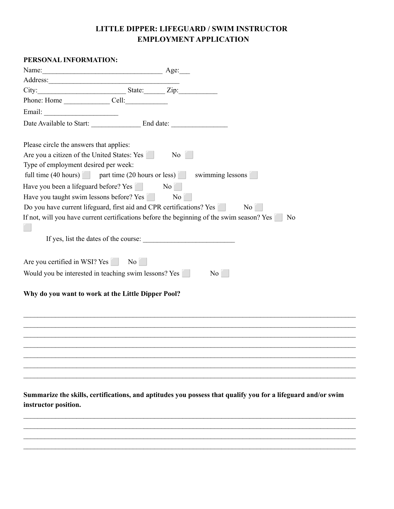## **LITTLE DIPPER: LIFEGUARD / SWIM INSTRUCTOR EMPLOYMENT APPLICATION**

| PERSONAL INFORMATION:                                                                                                                                                                                                                |                                                                                                              |
|--------------------------------------------------------------------------------------------------------------------------------------------------------------------------------------------------------------------------------------|--------------------------------------------------------------------------------------------------------------|
| Name: <u>Age:</u> Age:                                                                                                                                                                                                               |                                                                                                              |
| Address: <u>and the same of the same of the same of the same of the same of the same of the same of the same of the same of the same of the same of the same of the same of the same of the same of the same of the same of the </u> |                                                                                                              |
| City: <u>City: Zip:</u>                                                                                                                                                                                                              |                                                                                                              |
|                                                                                                                                                                                                                                      |                                                                                                              |
|                                                                                                                                                                                                                                      |                                                                                                              |
|                                                                                                                                                                                                                                      |                                                                                                              |
| Please circle the answers that applies:                                                                                                                                                                                              |                                                                                                              |
| Are you a citizen of the United States: Yes                                                                                                                                                                                          | No                                                                                                           |
| Type of employment desired per week:                                                                                                                                                                                                 |                                                                                                              |
|                                                                                                                                                                                                                                      | full time (40 hours) part time (20 hours or less) swimming lessons                                           |
| Have you been a lifeguard before? Yes                                                                                                                                                                                                | No                                                                                                           |
| Have you taught swim lessons before? Yes                                                                                                                                                                                             | No                                                                                                           |
|                                                                                                                                                                                                                                      | Do you have current lifeguard, first aid and CPR certifications? Yes<br>No 1                                 |
|                                                                                                                                                                                                                                      | If not, will you have current certifications before the beginning of the swim season? Yes<br>- No            |
|                                                                                                                                                                                                                                      | If yes, list the dates of the course:                                                                        |
| Are you certified in WSI? Yes No                                                                                                                                                                                                     |                                                                                                              |
| Would you be interested in teaching swim lessons? Yes                                                                                                                                                                                | No                                                                                                           |
| Why do you want to work at the Little Dipper Pool?                                                                                                                                                                                   |                                                                                                              |
|                                                                                                                                                                                                                                      |                                                                                                              |
|                                                                                                                                                                                                                                      |                                                                                                              |
|                                                                                                                                                                                                                                      |                                                                                                              |
|                                                                                                                                                                                                                                      |                                                                                                              |
|                                                                                                                                                                                                                                      |                                                                                                              |
|                                                                                                                                                                                                                                      |                                                                                                              |
|                                                                                                                                                                                                                                      |                                                                                                              |
|                                                                                                                                                                                                                                      |                                                                                                              |
|                                                                                                                                                                                                                                      | Summarize the skills, certifications, and aptitudes you possess that qualify you for a lifeguard and/or swim |
| instructor position.                                                                                                                                                                                                                 |                                                                                                              |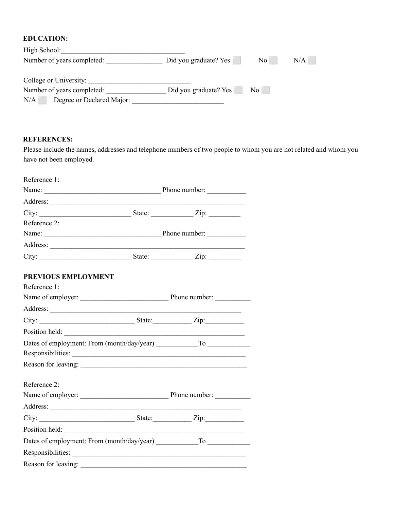## **EDUCATION:**

| High School:                     |                       |                |     |
|----------------------------------|-----------------------|----------------|-----|
| Number of years completed:       | Did you graduate? Yes | N <sub>0</sub> | N/A |
|                                  |                       |                |     |
| College or University:           |                       |                |     |
| Number of years completed:       | Did you graduate? Yes | No             |     |
| N/A<br>Degree or Declared Major: |                       |                |     |

## **REFERENCES:**

Please include the names, addresses and telephone numbers of two people to whom you are not related and whom you have not been employed.

| Name: <u>Name:</u> Phone number:                 |                                                             |  |
|--------------------------------------------------|-------------------------------------------------------------|--|
|                                                  |                                                             |  |
|                                                  | City: $\frac{\text{City:}}{\text{List:}}$                   |  |
|                                                  |                                                             |  |
| Name: <u>Name:</u> Phone number:                 |                                                             |  |
|                                                  |                                                             |  |
|                                                  | City: $\frac{1}{\sqrt{2}}$ State: $\frac{1}{\sqrt{2}}$ Zip: |  |
|                                                  |                                                             |  |
|                                                  |                                                             |  |
|                                                  |                                                             |  |
|                                                  |                                                             |  |
|                                                  |                                                             |  |
|                                                  | Position held:                                              |  |
|                                                  |                                                             |  |
|                                                  |                                                             |  |
|                                                  |                                                             |  |
|                                                  |                                                             |  |
|                                                  |                                                             |  |
|                                                  |                                                             |  |
|                                                  |                                                             |  |
|                                                  |                                                             |  |
| Dates of employment: From (month/day/year) To To |                                                             |  |
|                                                  |                                                             |  |
|                                                  |                                                             |  |
|                                                  |                                                             |  |